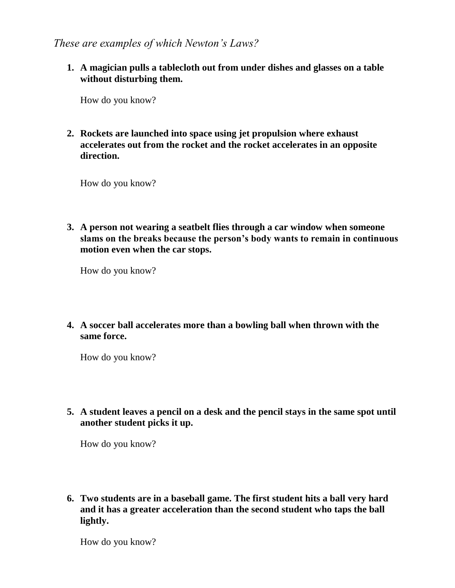*These are examples of which Newton's Laws?*

**1. A magician pulls a tablecloth out from under dishes and glasses on a table without disturbing them.**

How do you know?

**2. Rockets are launched into space using jet propulsion where exhaust accelerates out from the rocket and the rocket accelerates in an opposite direction.**

How do you know?

**3. A person not wearing a seatbelt flies through a car window when someone slams on the breaks because the person's body wants to remain in continuous motion even when the car stops.**

How do you know?

**4. A soccer ball accelerates more than a bowling ball when thrown with the same force.**

How do you know?

**5. A student leaves a pencil on a desk and the pencil stays in the same spot until another student picks it up.**

How do you know?

**6. Two students are in a baseball game. The first student hits a ball very hard and it has a greater acceleration than the second student who taps the ball lightly.**

How do you know?